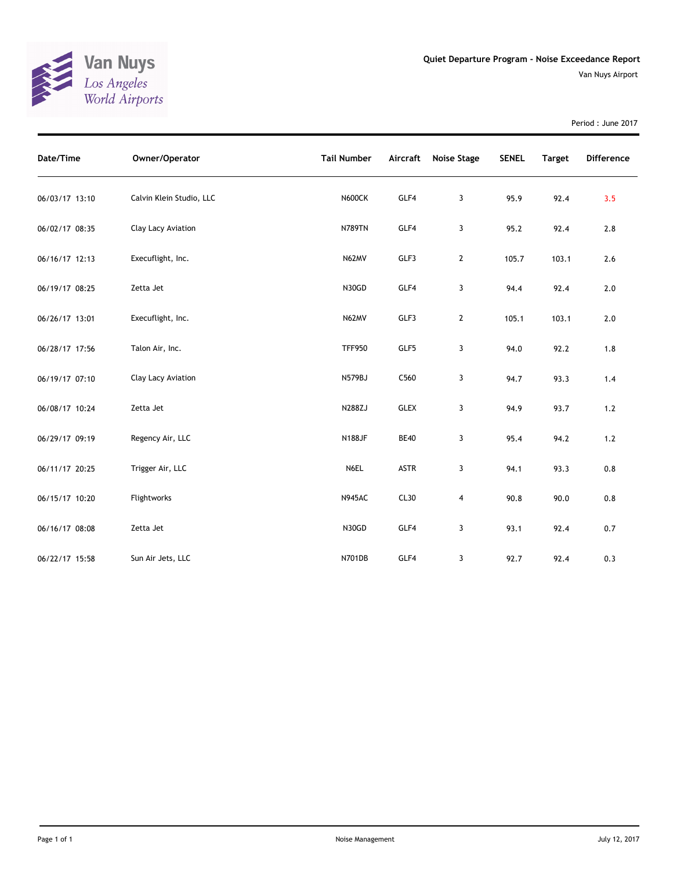

Period : June 2017

| Date/Time      | Owner/Operator           | <b>Tail Number</b> | Aircraft    | <b>Noise Stage</b> | <b>SENEL</b> | <b>Target</b> | <b>Difference</b> |
|----------------|--------------------------|--------------------|-------------|--------------------|--------------|---------------|-------------------|
| 06/03/17 13:10 | Calvin Klein Studio, LLC | <b>N600CK</b>      | GLF4        | 3                  | 95.9         | 92.4          | 3.5               |
| 06/02/17 08:35 | Clay Lacy Aviation       | <b>N789TN</b>      | GLF4        | 3                  | 95.2         | 92.4          | 2.8               |
| 06/16/17 12:13 | Execuflight, Inc.        | N62MV              | GLF3        | $\mathbf{2}$       | 105.7        | 103.1         | 2.6               |
| 06/19/17 08:25 | Zetta Jet                | N30GD              | GLF4        | 3                  | 94.4         | 92.4          | $2.0$             |
| 06/26/17 13:01 | Execuflight, Inc.        | N62MV              | GLF3        | $\mathbf{2}$       | 105.1        | 103.1         | $2.0$             |
| 06/28/17 17:56 | Talon Air, Inc.          | <b>TFF950</b>      | GLF5        | 3                  | 94.0         | 92.2          | 1.8               |
| 06/19/17 07:10 | Clay Lacy Aviation       | <b>N579BJ</b>      | C560        | 3                  | 94.7         | 93.3          | 1.4               |
| 06/08/17 10:24 | Zetta Jet                | N288ZJ             | <b>GLEX</b> | 3                  | 94.9         | 93.7          | $1.2\,$           |
| 06/29/17 09:19 | Regency Air, LLC         | <b>N188JF</b>      | <b>BE40</b> | 3                  | 95.4         | 94.2          | $1.2\,$           |
| 06/11/17 20:25 | Trigger Air, LLC         | N6EL               | <b>ASTR</b> | 3                  | 94.1         | 93.3          | 0.8               |
| 06/15/17 10:20 | Flightworks              | <b>N945AC</b>      | CL30        | 4                  | 90.8         | 90.0          | $0.8\,$           |
| 06/16/17 08:08 | Zetta Jet                | N30GD              | GLF4        | 3                  | 93.1         | 92.4          | 0.7               |
| 06/22/17 15:58 | Sun Air Jets, LLC        | N701DB             | GLF4        | 3                  | 92.7         | 92.4          | 0.3               |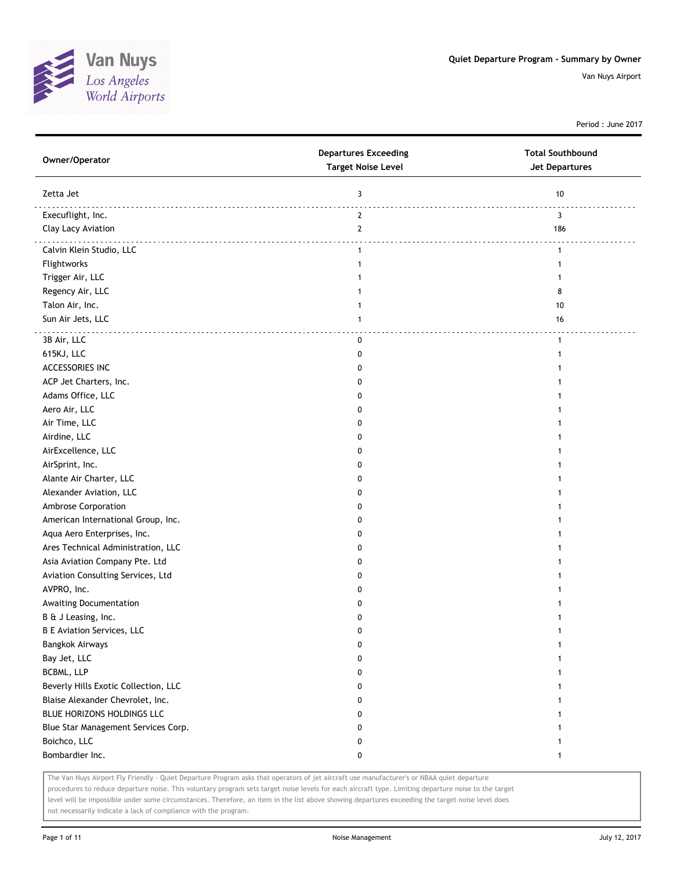

Period : June 2017

| Owner/Operator                       | <b>Departures Exceeding</b><br><b>Target Noise Level</b> | <b>Total Southbound</b><br><b>Jet Departures</b> |
|--------------------------------------|----------------------------------------------------------|--------------------------------------------------|
| Zetta Jet                            | 3                                                        | 10                                               |
| Execuflight, Inc.                    | $\mathbf{2}$                                             | 3                                                |
| Clay Lacy Aviation                   | $\mathbf{2}$                                             | 186                                              |
| Calvin Klein Studio, LLC             | $\mathbf{1}$                                             | $\mathbf{1}$                                     |
| Flightworks                          | -1                                                       | $\mathbf{1}$                                     |
| Trigger Air, LLC                     |                                                          | 1                                                |
| Regency Air, LLC                     |                                                          | 8                                                |
| Talon Air, Inc.                      | 1                                                        | 10                                               |
| Sun Air Jets, LLC                    | $\mathbf{1}$                                             | 16                                               |
| 3B Air, LLC                          | 0                                                        | $\mathbf{1}$                                     |
| 615KJ, LLC                           | 0                                                        | 1                                                |
| ACCESSORIES INC                      | 0                                                        |                                                  |
| ACP Jet Charters, Inc.               | 0                                                        |                                                  |
| Adams Office, LLC                    | 0                                                        | 1                                                |
| Aero Air, LLC                        | 0                                                        | 1                                                |
| Air Time, LLC                        | 0                                                        | 1                                                |
| Airdine, LLC                         | 0                                                        | 1                                                |
| AirExcellence, LLC                   | 0                                                        |                                                  |
| AirSprint, Inc.                      | 0                                                        |                                                  |
| Alante Air Charter, LLC              | 0                                                        |                                                  |
| Alexander Aviation, LLC              | 0                                                        |                                                  |
| Ambrose Corporation                  | 0                                                        |                                                  |
| American International Group, Inc.   | 0                                                        |                                                  |
| Aqua Aero Enterprises, Inc.          | 0                                                        | 1                                                |
| Ares Technical Administration, LLC   | 0                                                        | 1                                                |
| Asia Aviation Company Pte. Ltd       | 0                                                        | 1                                                |
| Aviation Consulting Services, Ltd    | 0                                                        | 1                                                |
| AVPRO, Inc.                          | 0                                                        |                                                  |
| Awaiting Documentation               | 0                                                        | 1                                                |
| B & J Leasing, Inc.                  | 0                                                        |                                                  |
| <b>B E Aviation Services, LLC</b>    | 0                                                        | 1                                                |
| Bangkok Airways                      | 0                                                        | 1                                                |
| Bay Jet, LLC                         | 0                                                        | 1                                                |
| BCBML, LLP                           | 0                                                        | 1                                                |
| Beverly Hills Exotic Collection, LLC | 0                                                        | 1                                                |
| Blaise Alexander Chevrolet, Inc.     | 0                                                        | 1                                                |
| BLUE HORIZONS HOLDINGS LLC           | 0                                                        | 1                                                |
| Blue Star Management Services Corp.  | 0                                                        | 1                                                |
| Boichco, LLC                         | 0                                                        | 1                                                |
| Bombardier Inc.                      | 0                                                        | $\mathbf{1}$                                     |
|                                      |                                                          |                                                  |

The Van Nuys Airport Fly Friendly - Quiet Departure Program asks that operators of jet aircraft use manufacturer's or NBAA quiet departure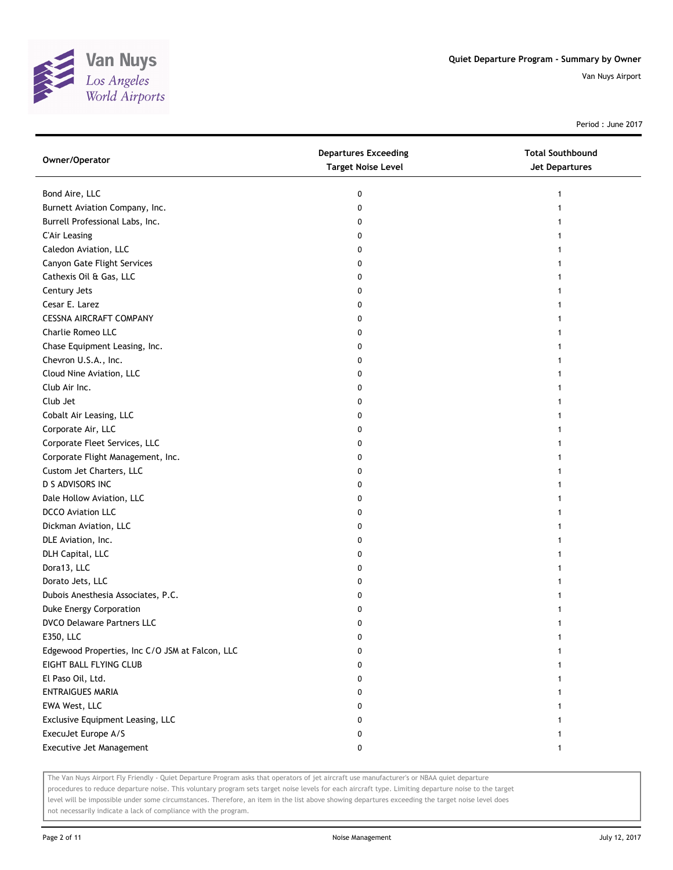

Period : June 2017

| Owner/Operator                                  | <b>Departures Exceeding</b><br><b>Target Noise Level</b> | <b>Total Southbound</b><br>Jet Departures |
|-------------------------------------------------|----------------------------------------------------------|-------------------------------------------|
| Bond Aire, LLC                                  | 0                                                        | 1                                         |
| Burnett Aviation Company, Inc.                  | 0                                                        |                                           |
| Burrell Professional Labs, Inc.                 | 0                                                        |                                           |
| <b>C'Air Leasing</b>                            | 0                                                        |                                           |
| Caledon Aviation, LLC                           | 0                                                        |                                           |
| Canyon Gate Flight Services                     | 0                                                        |                                           |
| Cathexis Oil & Gas, LLC                         | 0                                                        |                                           |
| Century Jets                                    | 0                                                        |                                           |
| Cesar E. Larez                                  | 0                                                        |                                           |
| <b>CESSNA AIRCRAFT COMPANY</b>                  | 0                                                        |                                           |
| Charlie Romeo LLC                               | 0                                                        |                                           |
| Chase Equipment Leasing, Inc.                   | 0                                                        |                                           |
| Chevron U.S.A., Inc.                            | 0                                                        |                                           |
| Cloud Nine Aviation, LLC                        | 0                                                        | 1                                         |
| Club Air Inc.                                   | 0                                                        |                                           |
| Club Jet                                        | 0                                                        |                                           |
| Cobalt Air Leasing, LLC                         | 0                                                        |                                           |
| Corporate Air, LLC                              | 0                                                        |                                           |
| Corporate Fleet Services, LLC                   | 0                                                        |                                           |
| Corporate Flight Management, Inc.               | 0                                                        |                                           |
| Custom Jet Charters, LLC                        | 0                                                        |                                           |
| D S ADVISORS INC                                | 0                                                        |                                           |
| Dale Hollow Aviation, LLC                       | 0                                                        |                                           |
| <b>DCCO Aviation LLC</b>                        | 0                                                        |                                           |
| Dickman Aviation, LLC                           | 0                                                        |                                           |
| DLE Aviation, Inc.                              | 0                                                        |                                           |
| DLH Capital, LLC                                | 0                                                        |                                           |
| Dora13, LLC                                     | 0                                                        |                                           |
| Dorato Jets, LLC                                | 0                                                        |                                           |
| Dubois Anesthesia Associates, P.C.              | 0                                                        |                                           |
| Duke Energy Corporation                         | 0                                                        |                                           |
| <b>DVCO Delaware Partners LLC</b>               | 0                                                        |                                           |
| E350, LLC                                       | $\pmb{0}$                                                | 1                                         |
| Edgewood Properties, Inc C/O JSM at Falcon, LLC | 0                                                        |                                           |
| EIGHT BALL FLYING CLUB                          | 0                                                        |                                           |
| El Paso Oil, Ltd.                               | 0                                                        |                                           |
| <b>ENTRAIGUES MARIA</b>                         | 0                                                        |                                           |
| EWA West, LLC                                   | 0                                                        |                                           |
| Exclusive Equipment Leasing, LLC                | 0                                                        |                                           |
| ExecuJet Europe A/S                             | 0                                                        |                                           |
| Executive Jet Management                        | 0                                                        | $\mathbf{1}$                              |

The Van Nuys Airport Fly Friendly - Quiet Departure Program asks that operators of jet aircraft use manufacturer's or NBAA quiet departure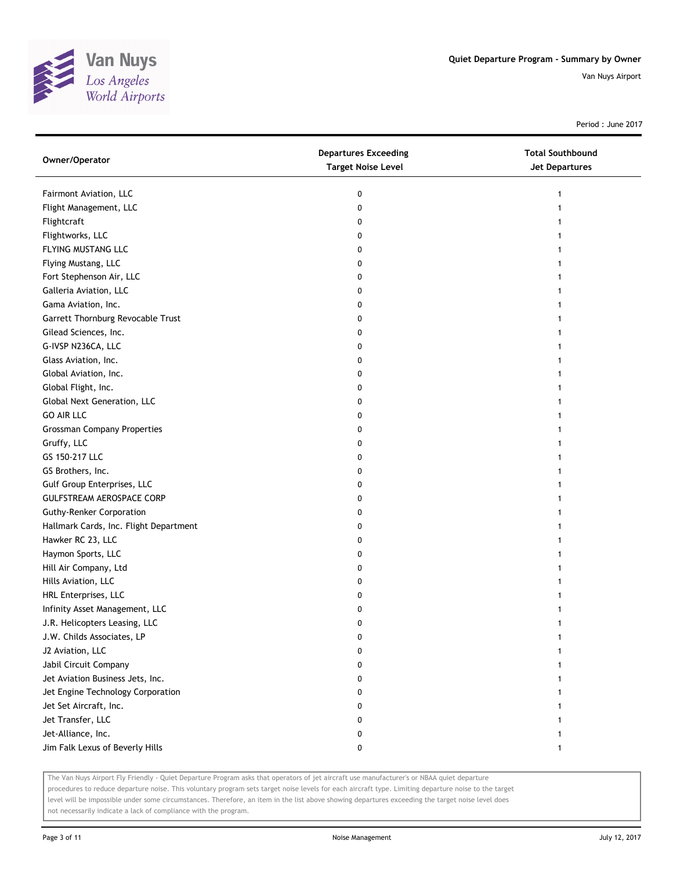

Period : June 2017

| Owner/Operator                         | <b>Departures Exceeding</b><br><b>Target Noise Level</b> | <b>Total Southbound</b><br>Jet Departures |
|----------------------------------------|----------------------------------------------------------|-------------------------------------------|
| Fairmont Aviation, LLC                 | 0                                                        | 1                                         |
| Flight Management, LLC                 | 0                                                        |                                           |
| Flightcraft                            | 0                                                        |                                           |
| Flightworks, LLC                       | 0                                                        |                                           |
| FLYING MUSTANG LLC                     | 0                                                        |                                           |
| Flying Mustang, LLC                    | 0                                                        | 1                                         |
| Fort Stephenson Air, LLC               | 0                                                        |                                           |
| Galleria Aviation, LLC                 | 0                                                        |                                           |
| Gama Aviation, Inc.                    | 0                                                        |                                           |
| Garrett Thornburg Revocable Trust      | 0                                                        |                                           |
| Gilead Sciences, Inc.                  | 0                                                        |                                           |
| G-IVSP N236CA, LLC                     | 0                                                        |                                           |
| Glass Aviation, Inc.                   | 0                                                        |                                           |
| Global Aviation, Inc.                  | 0                                                        |                                           |
| Global Flight, Inc.                    | 0                                                        |                                           |
| Global Next Generation, LLC            | 0                                                        |                                           |
| <b>GO AIR LLC</b>                      | 0                                                        |                                           |
| <b>Grossman Company Properties</b>     | 0                                                        |                                           |
| Gruffy, LLC                            | 0                                                        |                                           |
| GS 150-217 LLC                         | 0                                                        |                                           |
| GS Brothers, Inc.                      | 0                                                        |                                           |
| Gulf Group Enterprises, LLC            | 0                                                        |                                           |
| GULFSTREAM AEROSPACE CORP              | 0                                                        |                                           |
| <b>Guthy-Renker Corporation</b>        | 0                                                        |                                           |
| Hallmark Cards, Inc. Flight Department | 0                                                        | 1                                         |
| Hawker RC 23, LLC                      | 0                                                        | 1                                         |
| Haymon Sports, LLC                     | 0                                                        |                                           |
| Hill Air Company, Ltd                  | 0                                                        |                                           |
| Hills Aviation, LLC                    | 0                                                        |                                           |
| HRL Enterprises, LLC                   | 0                                                        |                                           |
| Infinity Asset Management, LLC         | 0                                                        |                                           |
| J.R. Helicopters Leasing, LLC          | 0                                                        |                                           |
| J.W. Childs Associates, LP             | 0                                                        |                                           |
| J2 Aviation, LLC                       | 0                                                        |                                           |
| Jabil Circuit Company                  | 0                                                        |                                           |
| Jet Aviation Business Jets, Inc.       | 0                                                        |                                           |
| Jet Engine Technology Corporation      | 0                                                        |                                           |
| Jet Set Aircraft, Inc.                 | 0                                                        |                                           |
| Jet Transfer, LLC                      | 0                                                        |                                           |
| Jet-Alliance, Inc.                     | 0                                                        |                                           |
| Jim Falk Lexus of Beverly Hills        | 0                                                        | 1                                         |

The Van Nuys Airport Fly Friendly - Quiet Departure Program asks that operators of jet aircraft use manufacturer's or NBAA quiet departure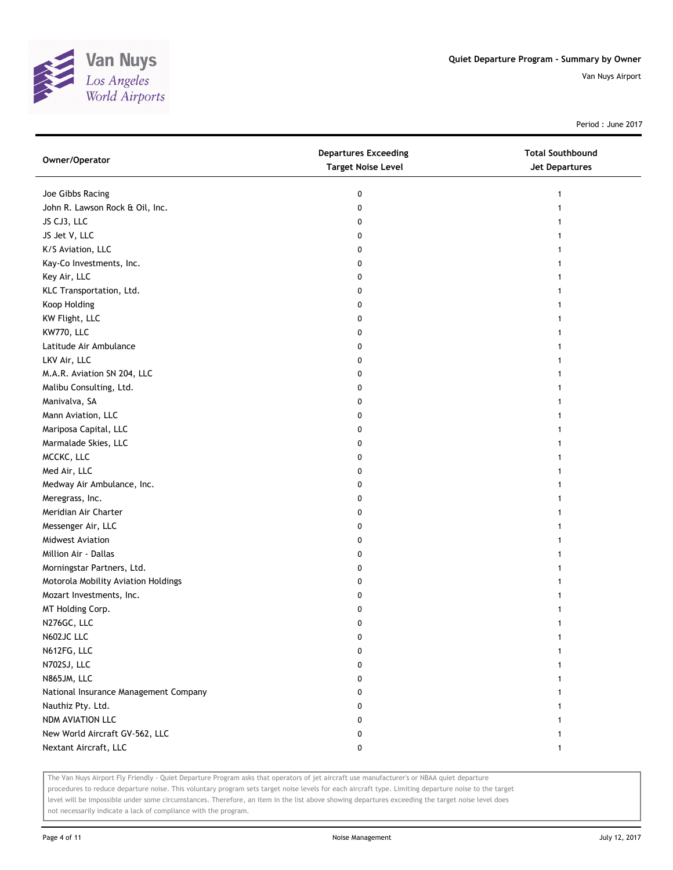

Period : June 2017

| Owner/Operator                        | <b>Departures Exceeding</b><br><b>Target Noise Level</b> | <b>Total Southbound</b><br>Jet Departures |
|---------------------------------------|----------------------------------------------------------|-------------------------------------------|
| Joe Gibbs Racing                      | 0                                                        | 1                                         |
| John R. Lawson Rock & Oil, Inc.       | 0                                                        |                                           |
| JS CJ3, LLC                           | 0                                                        |                                           |
| JS Jet V, LLC                         | 0                                                        |                                           |
| K/S Aviation, LLC                     | 0                                                        |                                           |
| Kay-Co Investments, Inc.              | 0                                                        | 1                                         |
| Key Air, LLC                          | 0                                                        | 1                                         |
| KLC Transportation, Ltd.              | 0                                                        |                                           |
| Koop Holding                          | 0                                                        |                                           |
| KW Flight, LLC                        | 0                                                        |                                           |
| KW770, LLC                            | 0                                                        |                                           |
| Latitude Air Ambulance                | 0                                                        |                                           |
| LKV Air, LLC                          | 0                                                        |                                           |
| M.A.R. Aviation SN 204, LLC           | 0                                                        |                                           |
| Malibu Consulting, Ltd.               | 0                                                        |                                           |
| Manivalva, SA                         | 0                                                        |                                           |
| Mann Aviation, LLC                    | 0                                                        |                                           |
| Mariposa Capital, LLC                 | 0                                                        |                                           |
| Marmalade Skies, LLC                  | 0                                                        |                                           |
| MCCKC, LLC                            | 0                                                        |                                           |
| Med Air, LLC                          | 0                                                        |                                           |
| Medway Air Ambulance, Inc.            | 0                                                        |                                           |
| Meregrass, Inc.                       | 0                                                        |                                           |
| Meridian Air Charter                  | 0                                                        |                                           |
| Messenger Air, LLC                    | 0                                                        | 1                                         |
| Midwest Aviation                      | 0                                                        | 1                                         |
| Million Air - Dallas                  | 0                                                        |                                           |
| Morningstar Partners, Ltd.            | 0                                                        |                                           |
| Motorola Mobility Aviation Holdings   | 0                                                        |                                           |
| Mozart Investments, Inc.              | 0                                                        |                                           |
| MT Holding Corp.                      | 0                                                        |                                           |
| N276GC, LLC                           | 0                                                        |                                           |
| N602JC LLC                            | 0                                                        |                                           |
| N612FG, LLC                           | $\mathbf 0$                                              |                                           |
| N702SJ, LLC                           | 0                                                        |                                           |
| N865JM, LLC                           | 0                                                        |                                           |
| National Insurance Management Company | 0                                                        |                                           |
| Nauthiz Pty. Ltd.                     | 0                                                        |                                           |
| NDM AVIATION LLC                      | 0                                                        |                                           |
| New World Aircraft GV-562, LLC        | 0                                                        |                                           |
| Nextant Aircraft, LLC                 | 0                                                        | $\mathbf{1}$                              |

The Van Nuys Airport Fly Friendly - Quiet Departure Program asks that operators of jet aircraft use manufacturer's or NBAA quiet departure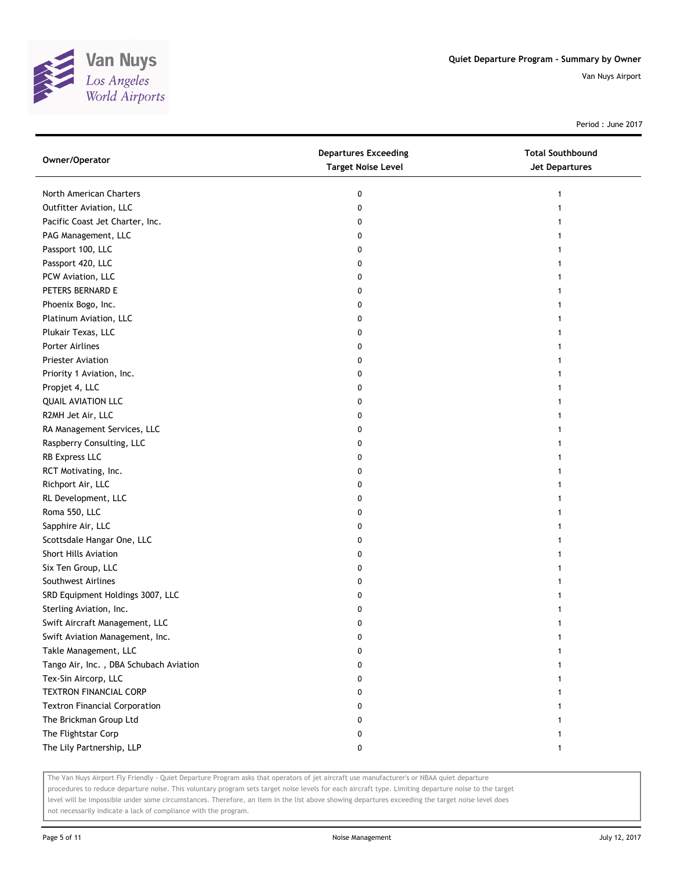

Period : June 2017

| Owner/Operator                         | <b>Departures Exceeding</b><br><b>Target Noise Level</b> | <b>Total Southbound</b><br>Jet Departures |
|----------------------------------------|----------------------------------------------------------|-------------------------------------------|
| North American Charters                | 0                                                        | 1                                         |
| Outfitter Aviation, LLC                | 0                                                        |                                           |
| Pacific Coast Jet Charter, Inc.        | 0                                                        |                                           |
| PAG Management, LLC                    | 0                                                        |                                           |
| Passport 100, LLC                      | 0                                                        |                                           |
| Passport 420, LLC                      | 0                                                        |                                           |
| PCW Aviation, LLC                      | 0                                                        |                                           |
| PETERS BERNARD E                       | 0                                                        |                                           |
| Phoenix Bogo, Inc.                     | 0                                                        |                                           |
| Platinum Aviation, LLC                 | 0                                                        |                                           |
| Plukair Texas, LLC                     | 0                                                        |                                           |
| Porter Airlines                        | 0                                                        |                                           |
| Priester Aviation                      | 0                                                        |                                           |
| Priority 1 Aviation, Inc.              | 0                                                        |                                           |
| Propjet 4, LLC                         | 0                                                        |                                           |
| <b>QUAIL AVIATION LLC</b>              | 0                                                        |                                           |
| R2MH Jet Air, LLC                      | 0                                                        |                                           |
| RA Management Services, LLC            | 0                                                        |                                           |
| Raspberry Consulting, LLC              | 0                                                        |                                           |
| RB Express LLC                         | 0                                                        |                                           |
| RCT Motivating, Inc.                   | 0                                                        |                                           |
| Richport Air, LLC                      | 0                                                        |                                           |
| RL Development, LLC                    | 0                                                        |                                           |
| Roma 550, LLC                          | 0                                                        |                                           |
| Sapphire Air, LLC                      | 0                                                        |                                           |
| Scottsdale Hangar One, LLC             | 0                                                        |                                           |
| Short Hills Aviation                   | 0                                                        |                                           |
| Six Ten Group, LLC                     | 0                                                        |                                           |
| Southwest Airlines                     | 0                                                        |                                           |
| SRD Equipment Holdings 3007, LLC       | 0                                                        |                                           |
| Sterling Aviation, Inc.                | 0                                                        |                                           |
| Swift Aircraft Management, LLC         | 0                                                        |                                           |
| Swift Aviation Management, Inc.        | 0                                                        |                                           |
| Takle Management, LLC                  | 0                                                        |                                           |
| Tango Air, Inc., DBA Schubach Aviation | 0                                                        |                                           |
| Tex-Sin Aircorp, LLC                   | 0                                                        |                                           |
| <b>TEXTRON FINANCIAL CORP</b>          | 0                                                        |                                           |
| <b>Textron Financial Corporation</b>   | 0                                                        |                                           |
| The Brickman Group Ltd                 | 0                                                        |                                           |
| The Flightstar Corp                    | 0                                                        |                                           |
| The Lily Partnership, LLP              | 0                                                        |                                           |

The Van Nuys Airport Fly Friendly - Quiet Departure Program asks that operators of jet aircraft use manufacturer's or NBAA quiet departure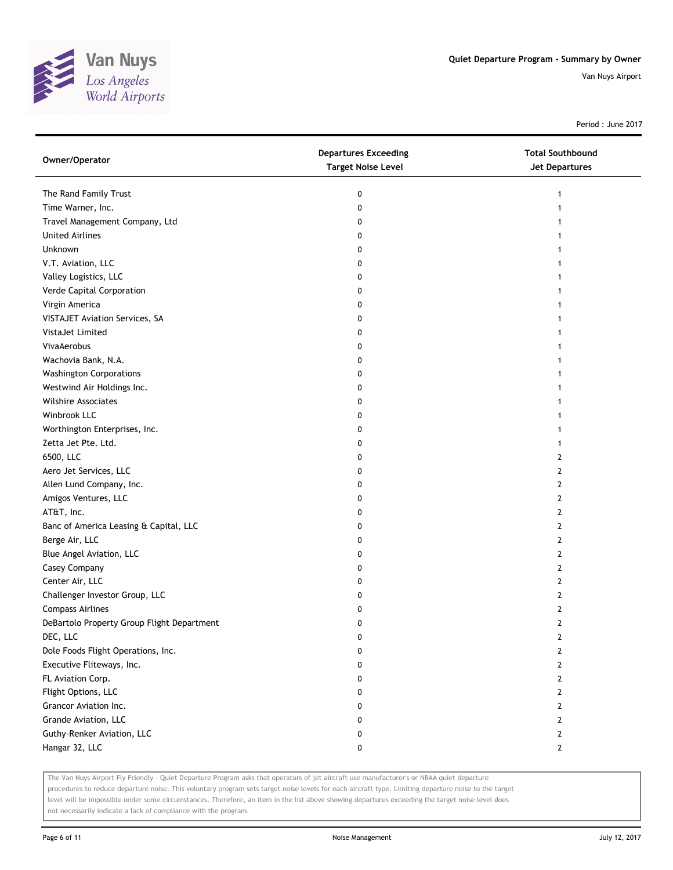

Period : June 2017

| Owner/Operator                             | <b>Departures Exceeding</b><br><b>Target Noise Level</b> | <b>Total Southbound</b><br>Jet Departures |
|--------------------------------------------|----------------------------------------------------------|-------------------------------------------|
| The Rand Family Trust                      | 0                                                        | 1                                         |
| Time Warner, Inc.                          | 0                                                        |                                           |
| Travel Management Company, Ltd             | 0                                                        |                                           |
| <b>United Airlines</b>                     | 0                                                        |                                           |
| Unknown                                    | 0                                                        |                                           |
| V.T. Aviation, LLC                         | 0                                                        |                                           |
| Valley Logistics, LLC                      | 0                                                        |                                           |
| Verde Capital Corporation                  | 0                                                        |                                           |
| Virgin America                             | 0                                                        |                                           |
| VISTAJET Aviation Services, SA             | 0                                                        |                                           |
| VistaJet Limited                           | 0                                                        |                                           |
| VivaAerobus                                | 0                                                        |                                           |
| Wachovia Bank, N.A.                        | 0                                                        |                                           |
| <b>Washington Corporations</b>             | 0                                                        |                                           |
| Westwind Air Holdings Inc.                 | 0                                                        |                                           |
| <b>Wilshire Associates</b>                 | 0                                                        |                                           |
| Winbrook LLC                               | 0                                                        |                                           |
| Worthington Enterprises, Inc.              | 0                                                        |                                           |
| Zetta Jet Pte. Ltd.                        | 0                                                        |                                           |
| 6500, LLC                                  | 0                                                        | 2                                         |
| Aero Jet Services, LLC                     | 0                                                        | 2                                         |
| Allen Lund Company, Inc.                   | 0                                                        | 2                                         |
| Amigos Ventures, LLC                       | 0                                                        | 2                                         |
| AT&T, Inc.                                 | 0                                                        | 2                                         |
| Banc of America Leasing & Capital, LLC     | 0                                                        | 2                                         |
| Berge Air, LLC                             | 0                                                        | 2                                         |
| Blue Angel Aviation, LLC                   | 0                                                        | 2                                         |
| Casey Company                              | 0                                                        | 2                                         |
| Center Air, LLC                            | 0                                                        | 2                                         |
| Challenger Investor Group, LLC             | 0                                                        | 2                                         |
| <b>Compass Airlines</b>                    | 0                                                        | 2                                         |
| DeBartolo Property Group Flight Department | 0                                                        | $\overline{2}$                            |
| DEC, LLC                                   | 0                                                        | 2                                         |
| Dole Foods Flight Operations, Inc.         | 0                                                        | 2                                         |
| Executive Fliteways, Inc.                  | 0                                                        | 2                                         |
| FL Aviation Corp.                          | 0                                                        | 2                                         |
| Flight Options, LLC                        | 0                                                        | 2                                         |
| Grancor Aviation Inc.                      | 0                                                        | 2                                         |
| Grande Aviation, LLC                       | 0                                                        | 2                                         |
| Guthy-Renker Aviation, LLC                 | 0                                                        | 2                                         |
| Hangar 32, LLC                             | 0                                                        | 2                                         |

The Van Nuys Airport Fly Friendly - Quiet Departure Program asks that operators of jet aircraft use manufacturer's or NBAA quiet departure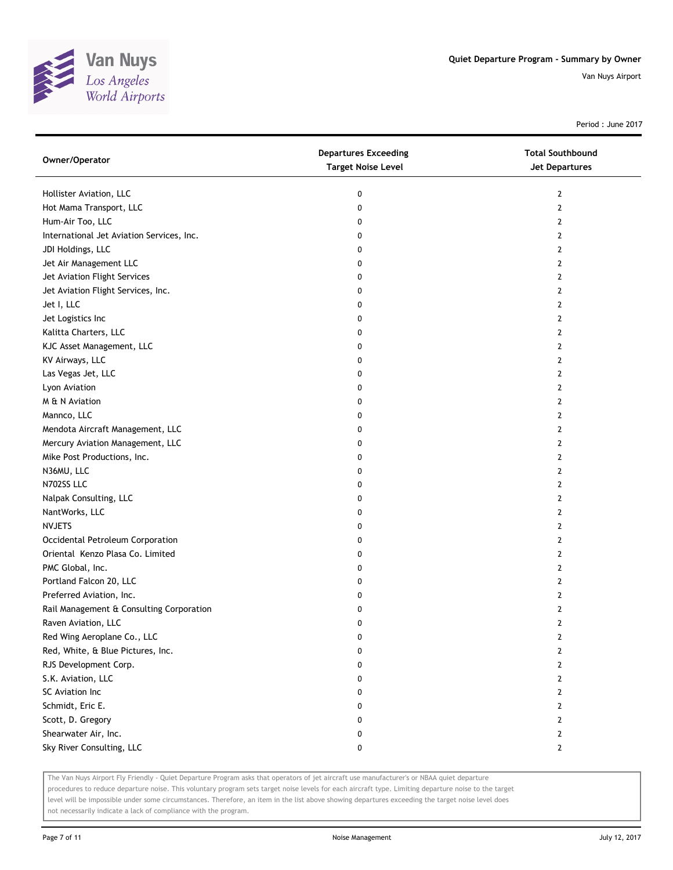

Period : June 2017

| Owner/Operator                            | <b>Departures Exceeding</b><br><b>Target Noise Level</b> | <b>Total Southbound</b><br>Jet Departures |
|-------------------------------------------|----------------------------------------------------------|-------------------------------------------|
| Hollister Aviation, LLC                   | 0                                                        | 2                                         |
| Hot Mama Transport, LLC                   | 0                                                        | 2                                         |
| Hum-Air Too, LLC                          | 0                                                        | $\overline{2}$                            |
| International Jet Aviation Services, Inc. | 0                                                        | 2                                         |
| JDI Holdings, LLC                         | 0                                                        | 2                                         |
| Jet Air Management LLC                    | 0                                                        | 2                                         |
| Jet Aviation Flight Services              | 0                                                        | 2                                         |
| Jet Aviation Flight Services, Inc.        | 0                                                        | $\mathbf{2}$                              |
| Jet I, LLC                                | 0                                                        | 2                                         |
| Jet Logistics Inc                         | 0                                                        | 2                                         |
| Kalitta Charters, LLC                     | 0                                                        | 2                                         |
| KJC Asset Management, LLC                 | 0                                                        | 2                                         |
| KV Airways, LLC                           | 0                                                        | 2                                         |
| Las Vegas Jet, LLC                        | 0                                                        | 2                                         |
| Lyon Aviation                             | 0                                                        | 2                                         |
| M & N Aviation                            | 0                                                        | 2                                         |
| Mannco, LLC                               | 0                                                        | 2                                         |
| Mendota Aircraft Management, LLC          | 0                                                        | 2                                         |
| Mercury Aviation Management, LLC          | 0                                                        | $\overline{2}$                            |
| Mike Post Productions, Inc.               | 0                                                        | 2                                         |
| N36MU, LLC                                | 0                                                        | $\overline{2}$                            |
| N702SS LLC                                | 0                                                        | 2                                         |
| Nalpak Consulting, LLC                    | 0                                                        | $\overline{2}$                            |
| NantWorks, LLC                            | 0                                                        | 2                                         |
| <b>NVJETS</b>                             | 0                                                        | 2                                         |
| Occidental Petroleum Corporation          | 0                                                        | 2                                         |
| Oriental Kenzo Plasa Co. Limited          | 0                                                        | 2                                         |
| PMC Global, Inc.                          | 0                                                        | $\overline{2}$                            |
| Portland Falcon 20, LLC                   | 0                                                        | $\overline{2}$                            |
| Preferred Aviation, Inc.                  | 0                                                        | 2                                         |
| Rail Management & Consulting Corporation  | 0                                                        | $\mathbf{2}$                              |
| Raven Aviation, LLC                       | 0                                                        | $\overline{2}$                            |
| Red Wing Aeroplane Co., LLC               | 0                                                        | $\overline{2}$                            |
| Red, White, & Blue Pictures, Inc.         | 0                                                        | $\mathbf{2}$                              |
| RJS Development Corp.                     | 0                                                        | $\mathbf{2}$                              |
| S.K. Aviation, LLC                        | 0                                                        | $\mathbf{2}$                              |
| SC Aviation Inc                           | 0                                                        | 2                                         |
| Schmidt, Eric E.                          | 0                                                        | 2                                         |
| Scott, D. Gregory                         | 0                                                        | 2                                         |
| Shearwater Air, Inc.                      | 0                                                        | 2                                         |
| Sky River Consulting, LLC                 | 0                                                        | $\mathbf{2}$                              |

The Van Nuys Airport Fly Friendly - Quiet Departure Program asks that operators of jet aircraft use manufacturer's or NBAA quiet departure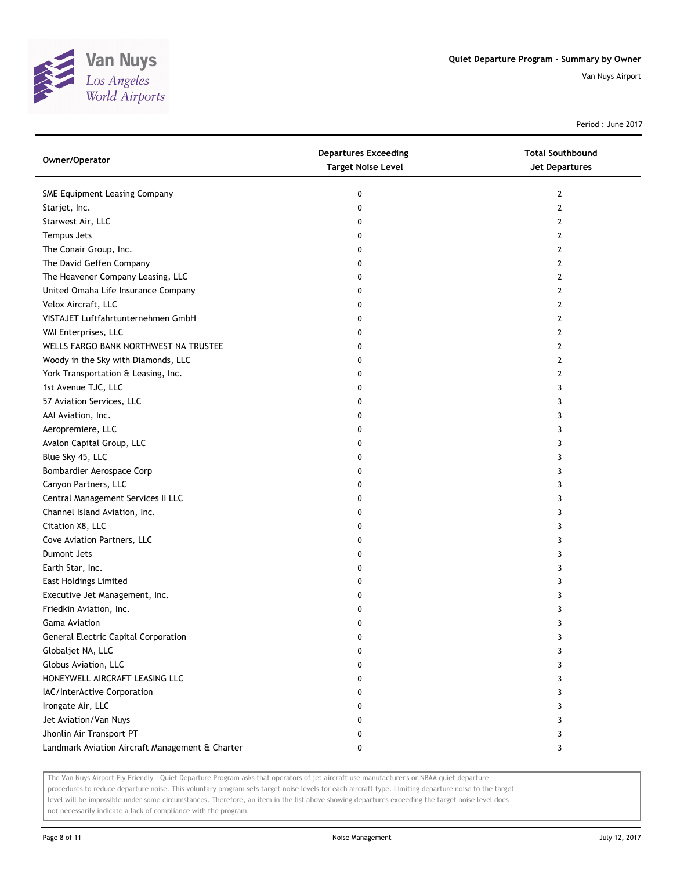

Period : June 2017

| Owner/Operator                                  | <b>Departures Exceeding</b><br><b>Target Noise Level</b> | <b>Total Southbound</b><br><b>Jet Departures</b> |
|-------------------------------------------------|----------------------------------------------------------|--------------------------------------------------|
| <b>SME Equipment Leasing Company</b>            | 0                                                        | 2                                                |
| Starjet, Inc.                                   | 0                                                        | 2                                                |
| Starwest Air, LLC                               | 0                                                        | 2                                                |
| Tempus Jets                                     | 0                                                        | 2                                                |
| The Conair Group, Inc.                          | 0                                                        | 2                                                |
| The David Geffen Company                        | 0                                                        | 2                                                |
| The Heavener Company Leasing, LLC               | 0                                                        | 2                                                |
| United Omaha Life Insurance Company             | 0                                                        | 2                                                |
| Velox Aircraft, LLC                             | 0                                                        | 2                                                |
| VISTAJET Luftfahrtunternehmen GmbH              | 0                                                        | 2                                                |
| VMI Enterprises, LLC                            | 0                                                        | 2                                                |
| WELLS FARGO BANK NORTHWEST NA TRUSTEE           | 0                                                        | 2                                                |
| Woody in the Sky with Diamonds, LLC             | 0                                                        | 2                                                |
| York Transportation & Leasing, Inc.             | 0                                                        | 2                                                |
| 1st Avenue TJC, LLC                             | 0                                                        | 3                                                |
| 57 Aviation Services, LLC                       | 0                                                        | 3                                                |
| AAI Aviation, Inc.                              | 0                                                        | 3                                                |
| Aeropremiere, LLC                               | 0                                                        | 3                                                |
| Avalon Capital Group, LLC                       | 0                                                        | 3                                                |
| Blue Sky 45, LLC                                | 0                                                        | 3                                                |
| Bombardier Aerospace Corp                       | 0                                                        | 3                                                |
| Canyon Partners, LLC                            | 0                                                        | 3                                                |
| Central Management Services II LLC              | 0                                                        | 3                                                |
| Channel Island Aviation, Inc.                   | 0                                                        | 3                                                |
| Citation X8, LLC                                | 0                                                        | 3                                                |
| Cove Aviation Partners, LLC                     | 0                                                        | 3                                                |
| Dumont Jets                                     | 0                                                        | 3                                                |
| Earth Star, Inc.                                | 0                                                        | 3                                                |
| East Holdings Limited                           | 0                                                        | 3                                                |
| Executive Jet Management, Inc.                  | 0                                                        | 3                                                |
| Friedkin Aviation, Inc.                         | 0                                                        | 3                                                |
| Gama Aviation                                   | 0                                                        | 3                                                |
| <b>General Electric Capital Corporation</b>     | 0                                                        | 3                                                |
| Globaljet NA, LLC                               | 0                                                        | 3                                                |
| Globus Aviation, LLC                            | 0                                                        | 3                                                |
| HONEYWELL AIRCRAFT LEASING LLC                  | 0                                                        | 3                                                |
| IAC/InterActive Corporation                     | 0                                                        | 3                                                |
| Irongate Air, LLC                               | 0                                                        | 3                                                |
| Jet Aviation/Van Nuys                           | 0                                                        | 3                                                |
| Jhonlin Air Transport PT                        | 0                                                        | 3                                                |
| Landmark Aviation Aircraft Management & Charter | 0                                                        | 3                                                |

The Van Nuys Airport Fly Friendly - Quiet Departure Program asks that operators of jet aircraft use manufacturer's or NBAA quiet departure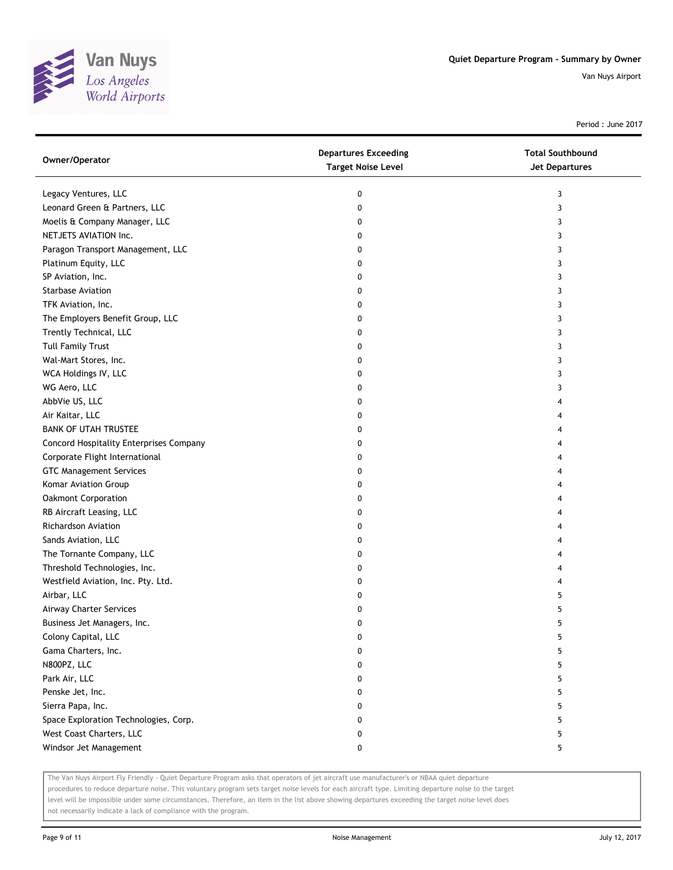

Period : June 2017

| Owner/Operator                          | <b>Departures Exceeding</b><br><b>Target Noise Level</b> | <b>Total Southbound</b><br>Jet Departures |
|-----------------------------------------|----------------------------------------------------------|-------------------------------------------|
| Legacy Ventures, LLC                    | 0                                                        | 3                                         |
| Leonard Green & Partners, LLC           | 0                                                        | 3                                         |
| Moelis & Company Manager, LLC           | 0                                                        | 3                                         |
| NETJETS AVIATION Inc.                   | 0                                                        | 3                                         |
| Paragon Transport Management, LLC       | 0                                                        | 3                                         |
| Platinum Equity, LLC                    | 0                                                        | 3                                         |
| SP Aviation, Inc.                       | 0                                                        | 3                                         |
| <b>Starbase Aviation</b>                | 0                                                        | 3                                         |
| TFK Aviation, Inc.                      | 0                                                        | 3                                         |
| The Employers Benefit Group, LLC        | 0                                                        | 3                                         |
| Trently Technical, LLC                  | 0                                                        | 3                                         |
| <b>Tull Family Trust</b>                | 0                                                        | 3                                         |
| Wal-Mart Stores, Inc.                   | 0                                                        | 3                                         |
| WCA Holdings IV, LLC                    | 0                                                        | 3                                         |
| WG Aero, LLC                            | 0                                                        | 3                                         |
| AbbVie US, LLC                          | 0                                                        | 4                                         |
| Air Kaitar, LLC                         | 0                                                        | 4                                         |
| <b>BANK OF UTAH TRUSTEE</b>             | 0                                                        | 4                                         |
| Concord Hospitality Enterprises Company | 0                                                        |                                           |
| Corporate Flight International          | 0                                                        |                                           |
| <b>GTC Management Services</b>          | 0                                                        |                                           |
| Komar Aviation Group                    | 0                                                        |                                           |
| Oakmont Corporation                     | 0                                                        |                                           |
| RB Aircraft Leasing, LLC                | 0                                                        |                                           |
| Richardson Aviation                     | 0                                                        |                                           |
| Sands Aviation, LLC                     | 0                                                        |                                           |
| The Tornante Company, LLC               | 0                                                        | 4                                         |
| Threshold Technologies, Inc.            | 0                                                        |                                           |
| Westfield Aviation, Inc. Pty. Ltd.      | 0                                                        |                                           |
| Airbar, LLC                             | 0                                                        | 5                                         |
| Airway Charter Services                 | 0                                                        | 5                                         |
| Business Jet Managers, Inc.             | 0                                                        | 5                                         |
| Colony Capital, LLC                     | 0                                                        | 5                                         |
| Gama Charters, Inc.                     | 0                                                        | 5                                         |
| N800PZ, LLC                             | 0                                                        | 5                                         |
| Park Air, LLC                           | 0                                                        | 5                                         |
| Penske Jet, Inc.                        | 0                                                        | 5                                         |
| Sierra Papa, Inc.                       | 0                                                        | 5                                         |
| Space Exploration Technologies, Corp.   | 0                                                        | 5                                         |
| West Coast Charters, LLC                | 0                                                        | 5                                         |
| Windsor Jet Management                  | 0                                                        | 5                                         |

The Van Nuys Airport Fly Friendly - Quiet Departure Program asks that operators of jet aircraft use manufacturer's or NBAA quiet departure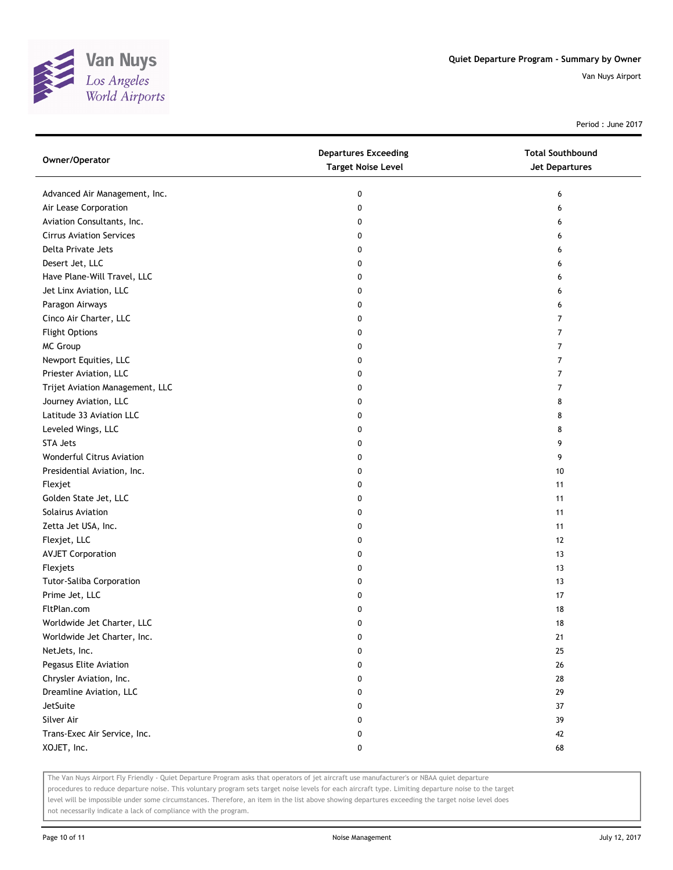

Period : June 2017

| Owner/Operator                  | <b>Departures Exceeding</b><br><b>Target Noise Level</b> | <b>Total Southbound</b><br>Jet Departures |
|---------------------------------|----------------------------------------------------------|-------------------------------------------|
| Advanced Air Management, Inc.   | 0                                                        | 6                                         |
| Air Lease Corporation           | 0                                                        | 6                                         |
| Aviation Consultants, Inc.      | 0                                                        | 6                                         |
| <b>Cirrus Aviation Services</b> | 0                                                        | 6                                         |
| Delta Private Jets              | 0                                                        | 6                                         |
| Desert Jet, LLC                 | 0                                                        | 6                                         |
| Have Plane-Will Travel, LLC     | 0                                                        | 6                                         |
| Jet Linx Aviation, LLC          | 0                                                        | 6                                         |
| Paragon Airways                 | 0                                                        | 6                                         |
| Cinco Air Charter, LLC          | 0                                                        | 7                                         |
| <b>Flight Options</b>           | 0                                                        | $\overline{7}$                            |
| MC Group                        | 0                                                        | $\overline{7}$                            |
| Newport Equities, LLC           | 0                                                        | $\overline{7}$                            |
| Priester Aviation, LLC          | 0                                                        | 7                                         |
| Trijet Aviation Management, LLC | 0                                                        | 7                                         |
| Journey Aviation, LLC           | 0                                                        | 8                                         |
| Latitude 33 Aviation LLC        | 0                                                        | 8                                         |
| Leveled Wings, LLC              | 0                                                        | 8                                         |
| <b>STA Jets</b>                 | 0                                                        | 9                                         |
| Wonderful Citrus Aviation       | 0                                                        | 9                                         |
| Presidential Aviation, Inc.     | 0                                                        | 10                                        |
| Flexjet                         | 0                                                        | 11                                        |
| Golden State Jet, LLC           | 0                                                        | 11                                        |
| Solairus Aviation               | 0                                                        | 11                                        |
| Zetta Jet USA, Inc.             | 0                                                        | 11                                        |
| Flexjet, LLC                    | 0                                                        | 12                                        |
| <b>AVJET Corporation</b>        | 0                                                        | 13                                        |
| Flexjets                        | 0                                                        | 13                                        |
| Tutor-Saliba Corporation        | 0                                                        | 13                                        |
| Prime Jet, LLC                  | 0                                                        | 17                                        |
| FltPlan.com                     | 0                                                        | 18                                        |
| Worldwide Jet Charter, LLC      | 0                                                        | 18                                        |
| Worldwide Jet Charter, Inc.     | 0                                                        | 21                                        |
| NetJets, Inc.                   | 0                                                        | 25                                        |
| Pegasus Elite Aviation          | 0                                                        | 26                                        |
| Chrysler Aviation, Inc.         | 0                                                        | 28                                        |
| Dreamline Aviation, LLC         | 0                                                        | 29                                        |
| JetSuite                        | 0                                                        | 37                                        |
| Silver Air                      | 0                                                        | 39                                        |
| Trans-Exec Air Service, Inc.    | 0                                                        | 42                                        |
| XOJET, Inc.                     | 0                                                        | 68                                        |

The Van Nuys Airport Fly Friendly - Quiet Departure Program asks that operators of jet aircraft use manufacturer's or NBAA quiet departure